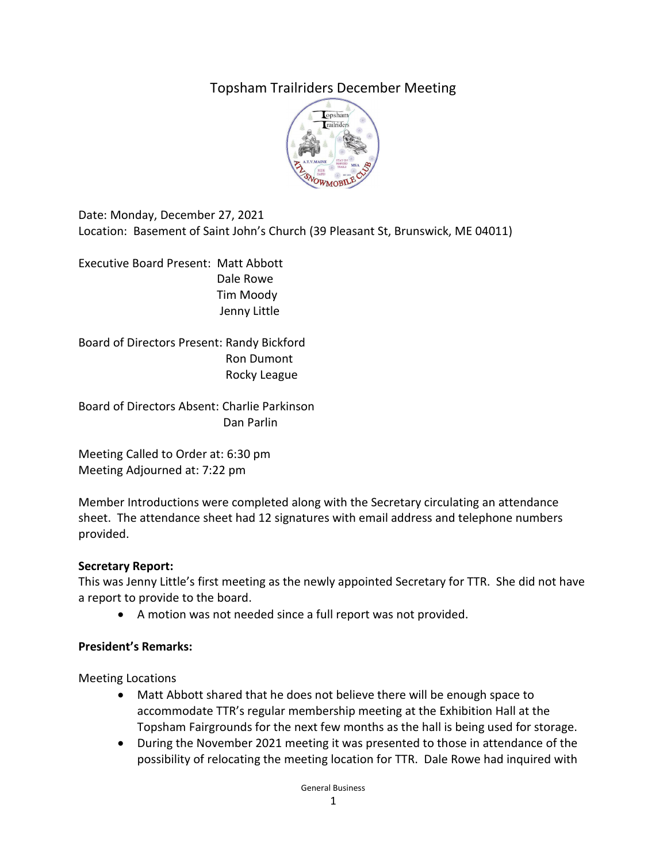# Topsham Trailriders December Meeting



Date: Monday, December 27, 2021 Location: Basement of Saint John's Church (39 Pleasant St, Brunswick, ME 04011)

Executive Board Present: Matt Abbott Dale Rowe Tim Moody Jenny Little

Board of Directors Present: Randy Bickford Ron Dumont Rocky League

Board of Directors Absent: Charlie Parkinson Dan Parlin

Meeting Called to Order at: 6:30 pm Meeting Adjourned at: 7:22 pm

Member Introductions were completed along with the Secretary circulating an attendance sheet. The attendance sheet had 12 signatures with email address and telephone numbers provided.

#### **Secretary Report:**

This was Jenny Little's first meeting as the newly appointed Secretary for TTR. She did not have a report to provide to the board.

• A motion was not needed since a full report was not provided.

#### **President's Remarks:**

Meeting Locations

- Matt Abbott shared that he does not believe there will be enough space to accommodate TTR's regular membership meeting at the Exhibition Hall at the Topsham Fairgrounds for the next few months as the hall is being used for storage.
- During the November 2021 meeting it was presented to those in attendance of the possibility of relocating the meeting location for TTR. Dale Rowe had inquired with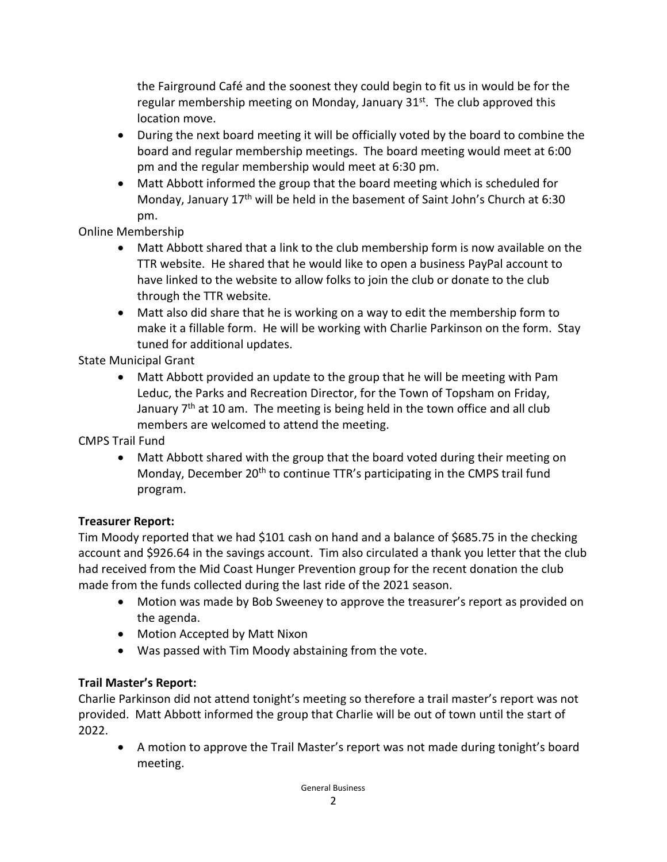the Fairground Café and the soonest they could begin to fit us in would be for the regular membership meeting on Monday, January 31<sup>st</sup>. The club approved this location move.

- During the next board meeting it will be officially voted by the board to combine the board and regular membership meetings. The board meeting would meet at 6:00 pm and the regular membership would meet at 6:30 pm.
- Matt Abbott informed the group that the board meeting which is scheduled for Monday, January 17<sup>th</sup> will be held in the basement of Saint John's Church at 6:30 pm.

# Online Membership

- Matt Abbott shared that a link to the club membership form is now available on the TTR website. He shared that he would like to open a business PayPal account to have linked to the website to allow folks to join the club or donate to the club through the TTR website.
- Matt also did share that he is working on a way to edit the membership form to make it a fillable form. He will be working with Charlie Parkinson on the form. Stay tuned for additional updates.

# State Municipal Grant

• Matt Abbott provided an update to the group that he will be meeting with Pam Leduc, the Parks and Recreation Director, for the Town of Topsham on Friday, January  $7<sup>th</sup>$  at 10 am. The meeting is being held in the town office and all club members are welcomed to attend the meeting.

# CMPS Trail Fund

• Matt Abbott shared with the group that the board voted during their meeting on Monday, December 20<sup>th</sup> to continue TTR's participating in the CMPS trail fund program.

# **Treasurer Report:**

Tim Moody reported that we had \$101 cash on hand and a balance of \$685.75 in the checking account and \$926.64 in the savings account. Tim also circulated a thank you letter that the club had received from the Mid Coast Hunger Prevention group for the recent donation the club made from the funds collected during the last ride of the 2021 season.

- Motion was made by Bob Sweeney to approve the treasurer's report as provided on the agenda.
- Motion Accepted by Matt Nixon
- Was passed with Tim Moody abstaining from the vote.

# **Trail Master's Report:**

Charlie Parkinson did not attend tonight's meeting so therefore a trail master's report was not provided. Matt Abbott informed the group that Charlie will be out of town until the start of 2022.

• A motion to approve the Trail Master's report was not made during tonight's board meeting.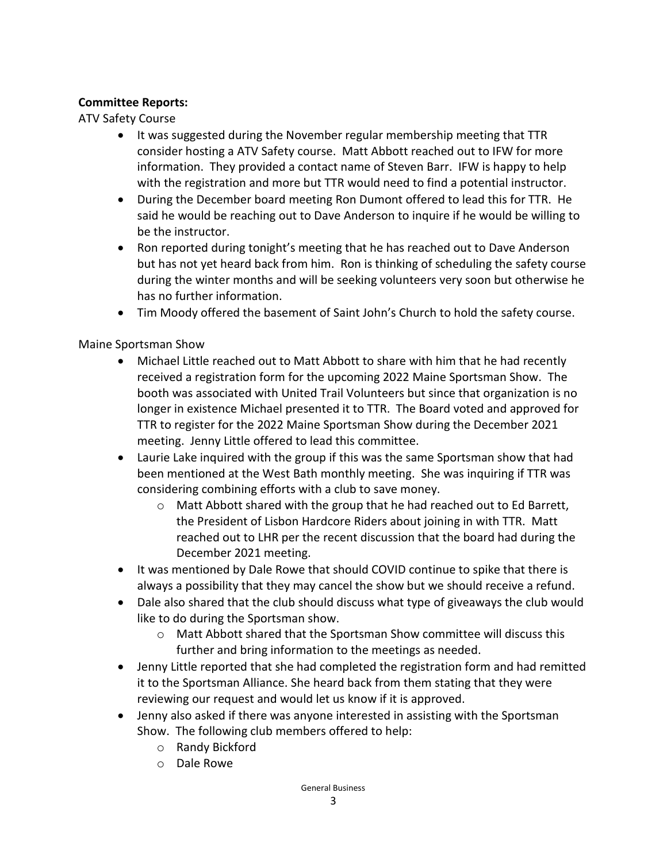### **Committee Reports:**

ATV Safety Course

- It was suggested during the November regular membership meeting that TTR consider hosting a ATV Safety course. Matt Abbott reached out to IFW for more information. They provided a contact name of Steven Barr. IFW is happy to help with the registration and more but TTR would need to find a potential instructor.
- During the December board meeting Ron Dumont offered to lead this for TTR. He said he would be reaching out to Dave Anderson to inquire if he would be willing to be the instructor.
- Ron reported during tonight's meeting that he has reached out to Dave Anderson but has not yet heard back from him. Ron is thinking of scheduling the safety course during the winter months and will be seeking volunteers very soon but otherwise he has no further information.
- Tim Moody offered the basement of Saint John's Church to hold the safety course.

### Maine Sportsman Show

- Michael Little reached out to Matt Abbott to share with him that he had recently received a registration form for the upcoming 2022 Maine Sportsman Show. The booth was associated with United Trail Volunteers but since that organization is no longer in existence Michael presented it to TTR. The Board voted and approved for TTR to register for the 2022 Maine Sportsman Show during the December 2021 meeting. Jenny Little offered to lead this committee.
- Laurie Lake inquired with the group if this was the same Sportsman show that had been mentioned at the West Bath monthly meeting. She was inquiring if TTR was considering combining efforts with a club to save money.
	- $\circ$  Matt Abbott shared with the group that he had reached out to Ed Barrett, the President of Lisbon Hardcore Riders about joining in with TTR. Matt reached out to LHR per the recent discussion that the board had during the December 2021 meeting.
- It was mentioned by Dale Rowe that should COVID continue to spike that there is always a possibility that they may cancel the show but we should receive a refund.
- Dale also shared that the club should discuss what type of giveaways the club would like to do during the Sportsman show.
	- o Matt Abbott shared that the Sportsman Show committee will discuss this further and bring information to the meetings as needed.
- Jenny Little reported that she had completed the registration form and had remitted it to the Sportsman Alliance. She heard back from them stating that they were reviewing our request and would let us know if it is approved.
- Jenny also asked if there was anyone interested in assisting with the Sportsman Show. The following club members offered to help:
	- o Randy Bickford
	- o Dale Rowe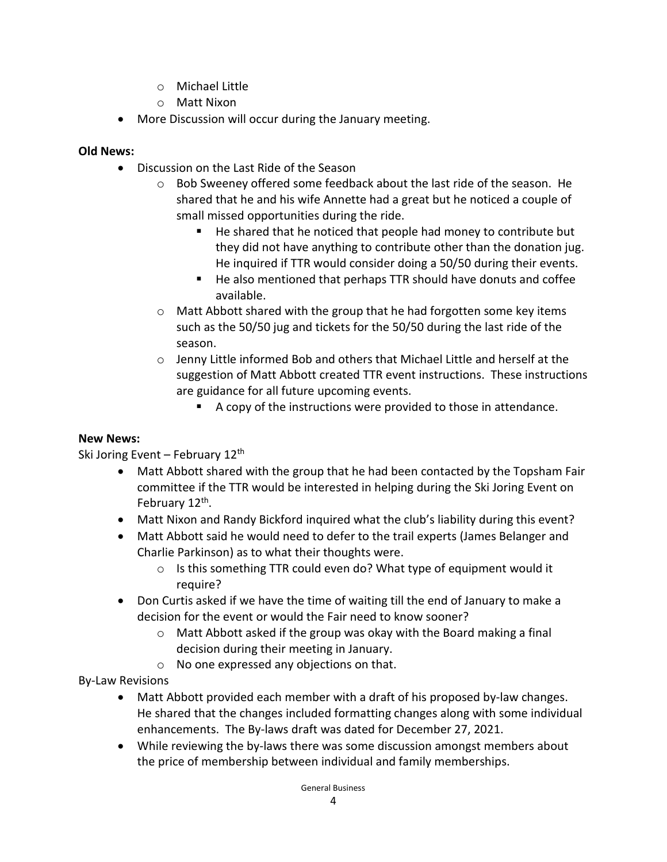- o Michael Little
- o Matt Nixon
- More Discussion will occur during the January meeting.

### **Old News:**

- Discussion on the Last Ride of the Season
	- $\circ$  Bob Sweeney offered some feedback about the last ride of the season. He shared that he and his wife Annette had a great but he noticed a couple of small missed opportunities during the ride.
		- $\blacksquare$  He shared that he noticed that people had money to contribute but they did not have anything to contribute other than the donation jug. He inquired if TTR would consider doing a 50/50 during their events.
		- He also mentioned that perhaps TTR should have donuts and coffee available.
	- o Matt Abbott shared with the group that he had forgotten some key items such as the 50/50 jug and tickets for the 50/50 during the last ride of the season.
	- $\circ$  Jenny Little informed Bob and others that Michael Little and herself at the suggestion of Matt Abbott created TTR event instructions. These instructions are guidance for all future upcoming events.
		- A copy of the instructions were provided to those in attendance.

#### **New News:**

Ski Joring Event – February  $12<sup>th</sup>$ 

- Matt Abbott shared with the group that he had been contacted by the Topsham Fair committee if the TTR would be interested in helping during the Ski Joring Event on February 12<sup>th</sup>.
- Matt Nixon and Randy Bickford inquired what the club's liability during this event?
- Matt Abbott said he would need to defer to the trail experts (James Belanger and Charlie Parkinson) as to what their thoughts were.
	- o Is this something TTR could even do? What type of equipment would it require?
- Don Curtis asked if we have the time of waiting till the end of January to make a decision for the event or would the Fair need to know sooner?
	- $\circ$  Matt Abbott asked if the group was okay with the Board making a final decision during their meeting in January.
	- o No one expressed any objections on that.

By-Law Revisions

- Matt Abbott provided each member with a draft of his proposed by-law changes. He shared that the changes included formatting changes along with some individual enhancements. The By-laws draft was dated for December 27, 2021.
- While reviewing the by-laws there was some discussion amongst members about the price of membership between individual and family memberships.